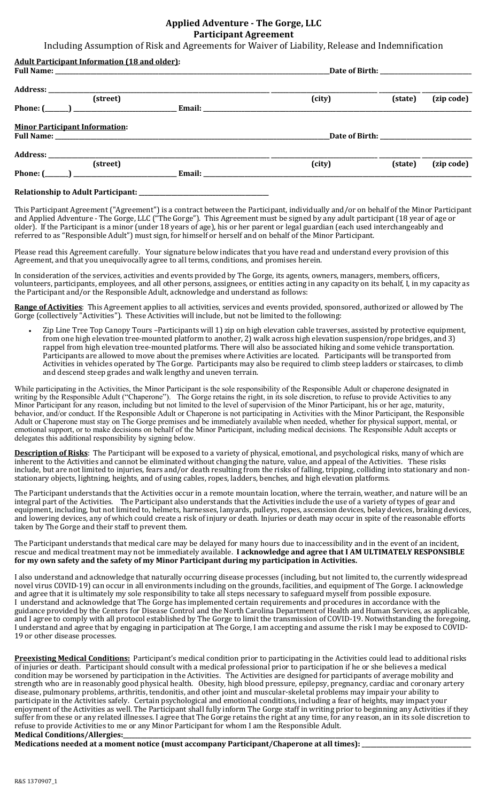## **Applied Adventure - The Gorge, LLC Participant Agreement**

Including Assumption of Risk and Agreements for Waiver of Liability, Release and Indemnification

| <b>Adult Participant Information (18 and older):</b>                                                                                                                                                                                                                   |        |         |            |
|------------------------------------------------------------------------------------------------------------------------------------------------------------------------------------------------------------------------------------------------------------------------|--------|---------|------------|
|                                                                                                                                                                                                                                                                        |        |         |            |
| (street)                                                                                                                                                                                                                                                               | (city) | (state) | (zip code) |
|                                                                                                                                                                                                                                                                        |        |         |            |
| <b>Minor Participant Information:</b>                                                                                                                                                                                                                                  |        |         |            |
|                                                                                                                                                                                                                                                                        |        |         |            |
| Address: No. 1998. The Contract of the Contract of the Contract of the Contract of the Contract of the Contract of the Contract of the Contract of the Contract of the Contract of the Contract of the Contract of the Contrac                                         |        |         |            |
| (street)                                                                                                                                                                                                                                                               | (city) | (state) | (zip code) |
| Phone: (<br>Email: The contract of the contract of the contract of the contract of the contract of the contract of the contract of the contract of the contract of the contract of the contract of the contract of the contract of the con<br>$\overline{\phantom{a}}$ |        |         |            |

## **Relationship to Adult Participant:**

This Participant Agreement ("Agreement") is a contract between the Participant, individually and/or on behalf of the Minor Participant and Applied Adventure - The Gorge, LLC ("The Gorge"). This Agreement must be signed by any adult participant (18 year of age or older). If the Participant is a minor (under 18 years of age), his or her parent or legal guardian (each used interchangeably and referred to as "Responsible Adult") must sign, for himself or herself and on behalf of the Minor Participant.

Please read this Agreement carefully. Your signature below indicates that you have read and understand every provision of this Agreement, and that you unequivocally agree to all terms, conditions, and promises herein.

In consideration of the services, activities and events provided by The Gorge, its agents, owners, managers, members, officers, volunteers, participants, employees, and all other persons, assignees, or entities acting in any capacity on its behalf, I, in my capacity as the Participant and/or the Responsible Adult, acknowledge and understand as follows:

Range of Activities: This Agreement applies to all activities, services and events provided, sponsored, authorized or allowed by The Gorge (collectively "Activities"). These Activities will include, but not be limited to the following:

Zip Line Tree Top Canopy Tours -Participants will 1) zip on high elevation cable traverses, assisted by protective equipment, from one high elevation tree-mounted platform to another, 2) walk across high elevation suspension/rope bridges, and 3) rappel from high elevation tree-mounted platforms. There will also be associated hiking and some vehicle transportation. Participants are allowed to move about the premises where Activities are located. Participants will be transported from Activities in vehicles operated by The Gorge. Participants may also be required to climb steep ladders or staircases, to climb and descend steep grades and walk lengthy and uneven terrain.

While participating in the Activities, the Minor Participant is the sole responsibility of the Responsible Adult or chaperone designated in writing by the Responsible Adult ("Chaperone"). The Gorge retains the right, in its sole discretion, to refuse to provide Activities to any Minor Participant for any reason, including but not limited to the level of supervision of the Minor Participant, his or her age, maturity, behavior, and/or conduct. If the Responsible Adult or Chaperone is not participating in Activities with the Minor Participant, the Responsible Adult or Chaperone must stay on The Gorge premises and be immediately available when needed, whether for physical support, mental, or emotional support, or to make decisions on behalf of the Minor Participant, including medical decisions. The Responsible Adult accepts or delegates this additional responsibility by signing below.

Description of Risks: The Participant will be exposed to a variety of physical, emotional, and psychological risks, many of which are inherent to the Activities and cannot be eliminated without changing the nature, value, and appeal of the Activities. These risks include, but are not limited to injuries, fears and/or death resulting from the risks of falling, tripping, colliding into stationary and nonstationary objects, lightning, heights, and of using cables, ropes, ladders, benches, and high elevation platforms.

The Participant understands that the Activities occur in a remote mountain location, where the terrain, weather, and nature will be an integral part of the Activities. The Participant also understands that the Activities include the use of a variety of types of gear and equipment, including, but not limited to, helmets, harnesses, lanyards, pulleys, ropes, ascension devices, belay devices, braking devices, and lowering devices, any of which could create a risk of injury or death. Injuries or death may occur in spite of the reasonable efforts taken by The Gorge and their staff to prevent them.

The Participant understands that medical care may be delayed for many hours due to inaccessibility and in the event of an incident, rescue and medical treatment may not be immediately available. I acknowledge and agree that I AM ULTIMATELY RESPONSIBLE for my own safety and the safety of my Minor Participant during my participation in Activities.

I also understand and acknowledge that naturally occurring disease processes (including, but not limited to, the currently widespread novel virus COVID-19) can occur in all environments including on the grounds, facilities, and equipment of The Gorge. I acknowledge and agree that it is ultimately my sole responsibility to take all steps necessary to safeguard myself from possible exposure. I understand and acknowledge that The Gorge has implemented certain requirements and procedures in accordance with the guidance provided by the Centers for Disease Control and the North Carolina Department of Health and Human Services, as applicable, and I agree to comply with all protocol established by The Gorge to limit the transmission of COVID-19. Notwithstanding the foregoing, I understand and agree that by engaging in participation at The Gorge, I am accepting and assume the risk I may be exposed to COVID-19 or other disease processes.

Preexisting Medical Conditions: Participant's medical condition prior to participating in the Activities could lead to additional risks of injuries or death. Participant should consult with a medical professional prior to participation if he or she believes a medical condition may be worsened by participation in the Activities. The Activities are designed for participants of average mobility and strength who are in reasonably good physical health. Obesity, high blood pressure, epilepsy, pregnancy, cardiac and coronary artery disease, pulmonary problems, arthritis, tendonitis, and other joint and muscular-skeletal problems may impair your ability to participate in the Activities safely. Certain psychological and emotional conditions, including a fear of heights, may impact your enjoyment of the Activities as well. The Participant shall fully inform The Gorge staff in writing prior to beginning any Activities if they suffer from these or any related illnesses. I agree that The Gorge retains the right at any time, for any reason, an in its sole discretion to refuse to provide Activities to me or any Minor Participant for whom I am the Responsible Adult. **Medical Conditions/Allergies:** 

Medications needed at a moment notice (must accompany Participant/Chaperone at all times): \_